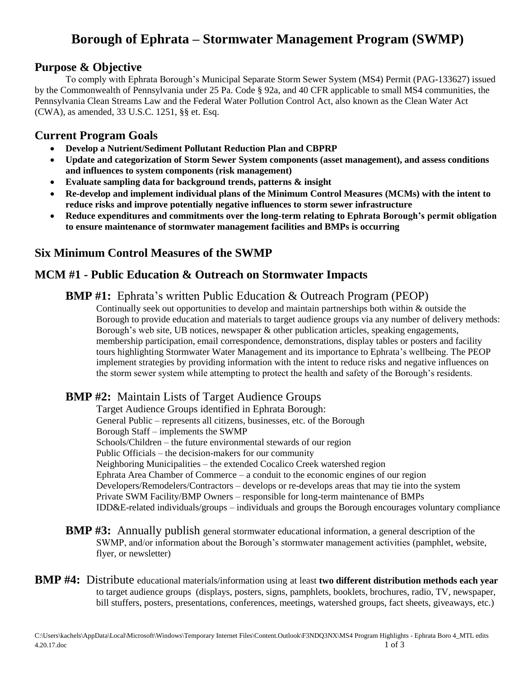# **Borough of Ephrata – Stormwater Management Program (SWMP)**

# **Purpose & Objective**

To comply with Ephrata Borough's Municipal Separate Storm Sewer System (MS4) Permit (PAG-133627) issued by the Commonwealth of Pennsylvania under 25 Pa. Code § 92a, and 40 CFR applicable to small MS4 communities, the Pennsylvania Clean Streams Law and the Federal Water Pollution Control Act, also known as the Clean Water Act (CWA), as amended, 33 U.S.C. 1251, §§ et. Esq.

# **Current Program Goals**

- **Develop a Nutrient/Sediment Pollutant Reduction Plan and CBPRP**
- **Update and categorization of Storm Sewer System components (asset management), and assess conditions and influences to system components (risk management)**
- **Evaluate sampling data for background trends, patterns & insight**
- **Re-develop and implement individual plans of the Minimum Control Measures (MCMs) with the intent to reduce risks and improve potentially negative influences to storm sewer infrastructure**
- **Reduce expenditures and commitments over the long-term relating to Ephrata Borough's permit obligation to ensure maintenance of stormwater management facilities and BMPs is occurring**

# **Six Minimum Control Measures of the SWMP**

# **MCM #1 - Public Education & Outreach on Stormwater Impacts**

#### **BMP** #1: Ephrata's written Public Education & Outreach Program (PEOP)

Continually seek out opportunities to develop and maintain partnerships both within & outside the Borough to provide education and materials to target audience groups via any number of delivery methods: Borough's web site, UB notices, newspaper & other publication articles, speaking engagements, membership participation, email correspondence, demonstrations, display tables or posters and facility tours highlighting Stormwater Water Management and its importance to Ephrata's wellbeing. The PEOP implement strategies by providing information with the intent to reduce risks and negative influences on the storm sewer system while attempting to protect the health and safety of the Borough's residents.

# **BMP #2:** Maintain Lists of Target Audience Groups

Target Audience Groups identified in Ephrata Borough: General Public – represents all citizens, businesses, etc. of the Borough Borough Staff – implements the SWMP Schools/Children – the future environmental stewards of our region Public Officials – the decision-makers for our community Neighboring Municipalities – the extended Cocalico Creek watershed region Ephrata Area Chamber of Commerce – a conduit to the economic engines of our region Developers/Remodelers/Contractors – develops or re-develops areas that may tie into the system Private SWM Facility/BMP Owners – responsible for long-term maintenance of BMPs IDD&E-related individuals/groups – individuals and groups the Borough encourages voluntary compliance

- **BMP #3:** Annually publish general stormwater educational information, a general description of the SWMP, and/or information about the Borough's stormwater management activities (pamphlet, website, flyer, or newsletter)
- **BMP #4:** Distribute educational materials/information using at least **two different distribution methods each year** to target audience groups (displays, posters, signs, pamphlets, booklets, brochures, radio, TV, newspaper, bill stuffers, posters, presentations, conferences, meetings, watershed groups, fact sheets, giveaways, etc.)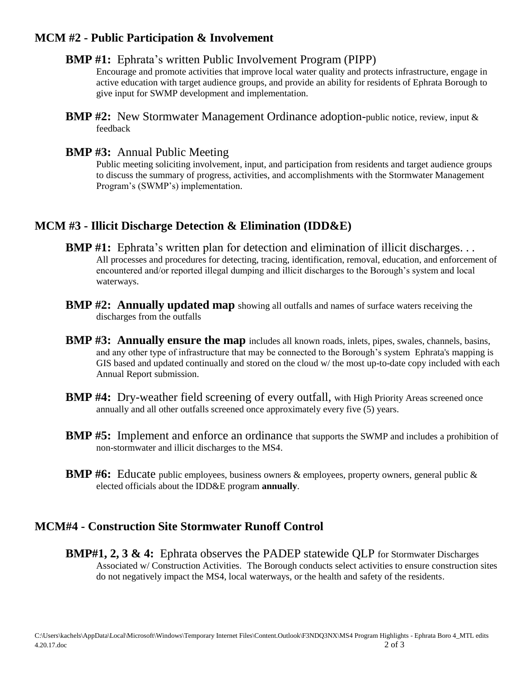#### **MCM #2 - Public Participation & Involvement**

#### **BMP #1:** Ephrata's written Public Involvement Program (PIPP)

Encourage and promote activities that improve local water quality and protects infrastructure, engage in active education with target audience groups, and provide an ability for residents of Ephrata Borough to give input for SWMP development and implementation.

#### **BMP #3:** Annual Public Meeting

Public meeting soliciting involvement, input, and participation from residents and target audience groups to discuss the summary of progress, activities, and accomplishments with the Stormwater Management Program's (SWMP's) implementation.

# **MCM #3 - Illicit Discharge Detection & Elimination (IDD&E)**

- **BMP** #1: Ephrata's written plan for detection and elimination of illicit discharges... All processes and procedures for detecting, tracing, identification, removal, education, and enforcement of encountered and/or reported illegal dumping and illicit discharges to the Borough's system and local waterways.
- **BMP #2: Annually updated map** showing all outfalls and names of surface waters receiving the discharges from the outfalls
- **BMP #3: Annually ensure the map** includes all known roads, inlets, pipes, swales, channels, basins, and any other type of infrastructure that may be connected to the Borough's system Ephrata's mapping is GIS based and updated continually and stored on the cloud w/ the most up-to-date copy included with each Annual Report submission.
- **BMP #4:** Dry-weather field screening of every outfall, with High Priority Areas screened once annually and all other outfalls screened once approximately every five (5) years.
- **BMP #5:** Implement and enforce an ordinance that supports the SWMP and includes a prohibition of non-stormwater and illicit discharges to the MS4.
- **BMP #6:** Educate public employees, business owners & employees, property owners, general public & elected officials about the IDD&E program **annually**.

# **MCM#4 - Construction Site Stormwater Runoff Control**

**BMP#1, 2, 3 & 4:** Ephrata observes the PADEP statewide OLP for Stormwater Discharges Associated w/ Construction Activities. The Borough conducts select activities to ensure construction sites do not negatively impact the MS4, local waterways, or the health and safety of the residents.

**BMP #2:** New Stormwater Management Ordinance adoption-public notice, review, input & feedback